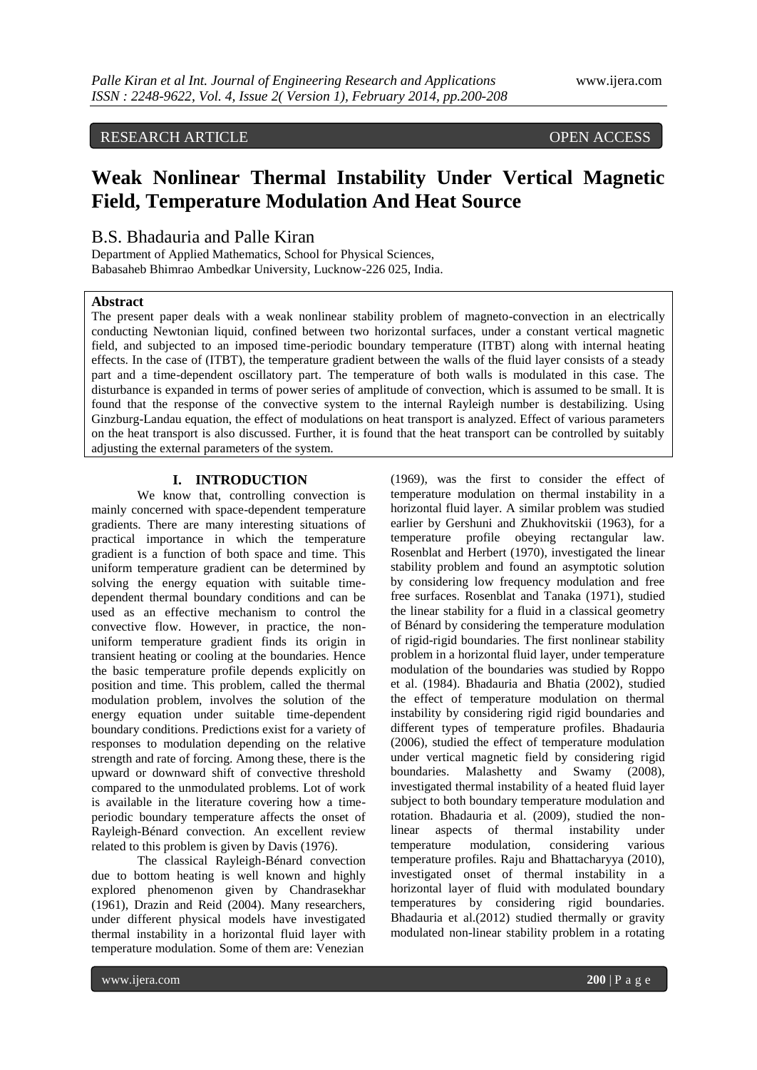# RESEARCH ARTICLE OPEN ACCESS

# **Weak Nonlinear Thermal Instability Under Vertical Magnetic Field, Temperature Modulation And Heat Source**

# B.S. Bhadauria and Palle Kiran

Department of Applied Mathematics, School for Physical Sciences, Babasaheb Bhimrao Ambedkar University, Lucknow-226 025, India.

## **Abstract**

The present paper deals with a weak nonlinear stability problem of magneto-convection in an electrically conducting Newtonian liquid, confined between two horizontal surfaces, under a constant vertical magnetic field, and subjected to an imposed time-periodic boundary temperature (ITBT) along with internal heating effects. In the case of (ITBT), the temperature gradient between the walls of the fluid layer consists of a steady part and a time-dependent oscillatory part. The temperature of both walls is modulated in this case. The disturbance is expanded in terms of power series of amplitude of convection, which is assumed to be small. It is found that the response of the convective system to the internal Rayleigh number is destabilizing. Using Ginzburg-Landau equation, the effect of modulations on heat transport is analyzed. Effect of various parameters on the heat transport is also discussed. Further, it is found that the heat transport can be controlled by suitably adjusting the external parameters of the system.

### **I. INTRODUCTION**

We know that, controlling convection is mainly concerned with space-dependent temperature gradients. There are many interesting situations of practical importance in which the temperature gradient is a function of both space and time. This uniform temperature gradient can be determined by solving the energy equation with suitable timedependent thermal boundary conditions and can be used as an effective mechanism to control the convective flow. However, in practice, the nonuniform temperature gradient finds its origin in transient heating or cooling at the boundaries. Hence the basic temperature profile depends explicitly on position and time. This problem, called the thermal modulation problem, involves the solution of the energy equation under suitable time-dependent boundary conditions. Predictions exist for a variety of responses to modulation depending on the relative strength and rate of forcing. Among these, there is the upward or downward shift of convective threshold compared to the unmodulated problems. Lot of work is available in the literature covering how a timeperiodic boundary temperature affects the onset of Rayleigh-Bénard convection. An excellent review related to this problem is given by Davis (1976).

The classical Rayleigh-Bénard convection due to bottom heating is well known and highly explored phenomenon given by Chandrasekhar (1961), Drazin and Reid (2004). Many researchers, under different physical models have investigated thermal instability in a horizontal fluid layer with temperature modulation. Some of them are: Venezian

(1969), was the first to consider the effect of temperature modulation on thermal instability in a horizontal fluid layer. A similar problem was studied earlier by Gershuni and Zhukhovitskii (1963), for a temperature profile obeying rectangular law. Rosenblat and Herbert (1970), investigated the linear stability problem and found an asymptotic solution by considering low frequency modulation and free free surfaces. Rosenblat and Tanaka (1971), studied the linear stability for a fluid in a classical geometry of Bénard by considering the temperature modulation of rigid-rigid boundaries. The first nonlinear stability problem in a horizontal fluid layer, under temperature modulation of the boundaries was studied by Roppo et al. (1984). Bhadauria and Bhatia (2002), studied the effect of temperature modulation on thermal instability by considering rigid rigid boundaries and different types of temperature profiles. Bhadauria (2006), studied the effect of temperature modulation under vertical magnetic field by considering rigid boundaries. Malashetty and Swamy (2008), investigated thermal instability of a heated fluid layer subject to both boundary temperature modulation and rotation. Bhadauria et al. (2009), studied the nonlinear aspects of thermal instability under temperature modulation, considering various temperature profiles. Raju and Bhattacharyya (2010), investigated onset of thermal instability in a horizontal layer of fluid with modulated boundary temperatures by considering rigid boundaries. Bhadauria et al.(2012) studied thermally or gravity modulated non-linear stability problem in a rotating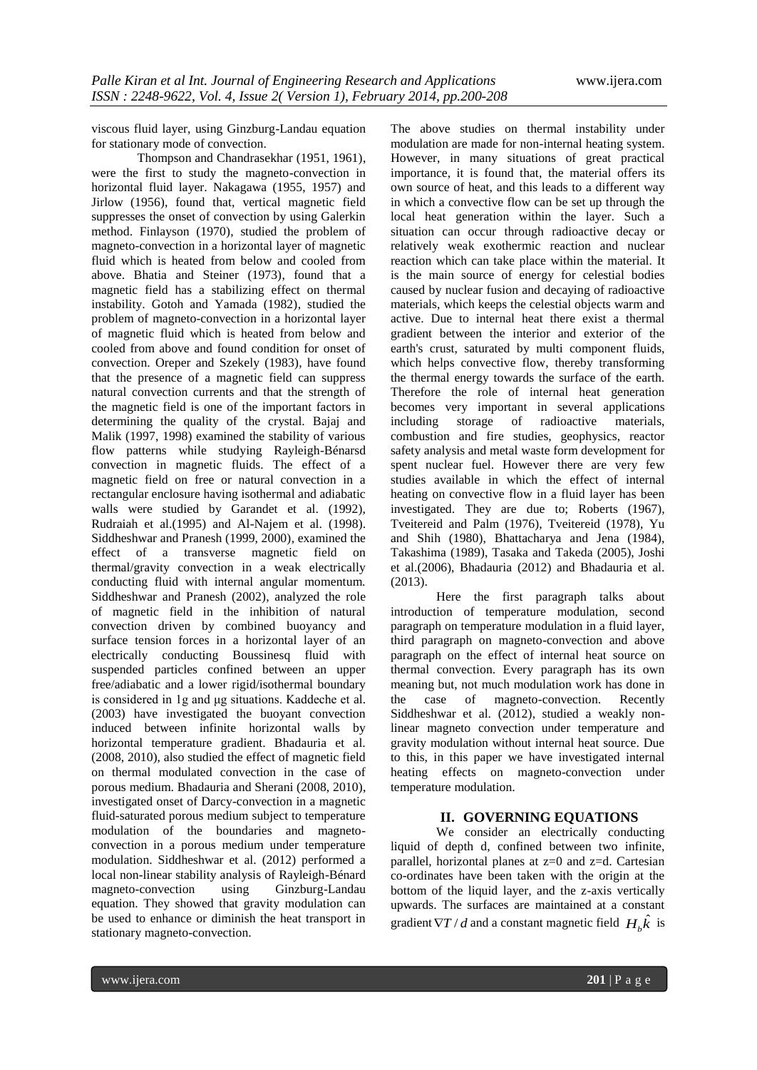viscous fluid layer, using Ginzburg-Landau equation for stationary mode of convection.

Thompson and Chandrasekhar (1951, 1961), were the first to study the magneto-convection in horizontal fluid layer. Nakagawa (1955, 1957) and Jirlow (1956), found that, vertical magnetic field suppresses the onset of convection by using Galerkin method. Finlayson (1970), studied the problem of magneto-convection in a horizontal layer of magnetic fluid which is heated from below and cooled from above. Bhatia and Steiner (1973), found that a magnetic field has a stabilizing effect on thermal instability. Gotoh and Yamada (1982), studied the problem of magneto-convection in a horizontal layer of magnetic fluid which is heated from below and cooled from above and found condition for onset of convection. Oreper and Szekely (1983), have found that the presence of a magnetic field can suppress natural convection currents and that the strength of the magnetic field is one of the important factors in determining the quality of the crystal. Bajaj and Malik (1997, 1998) examined the stability of various flow patterns while studying Rayleigh-Bénarsd convection in magnetic fluids. The effect of a magnetic field on free or natural convection in a rectangular enclosure having isothermal and adiabatic walls were studied by Garandet et al. (1992), Rudraiah et al.(1995) and Al-Najem et al. (1998). Siddheshwar and Pranesh (1999, 2000), examined the effect of a transverse magnetic field on thermal/gravity convection in a weak electrically conducting fluid with internal angular momentum. Siddheshwar and Pranesh (2002), analyzed the role of magnetic field in the inhibition of natural convection driven by combined buoyancy and surface tension forces in a horizontal layer of an electrically conducting Boussinesq fluid with suspended particles confined between an upper free/adiabatic and a lower rigid/isothermal boundary is considered in 1g and μg situations. Kaddeche et al. (2003) have investigated the buoyant convection induced between infinite horizontal walls by horizontal temperature gradient. Bhadauria et al. (2008, 2010), also studied the effect of magnetic field on thermal modulated convection in the case of porous medium. Bhadauria and Sherani (2008, 2010), investigated onset of Darcy-convection in a magnetic fluid-saturated porous medium subject to temperature modulation of the boundaries and magnetoconvection in a porous medium under temperature modulation. Siddheshwar et al. (2012) performed a local non-linear stability analysis of Rayleigh-Bénard magneto-convection using Ginzburg-Landau equation. They showed that gravity modulation can be used to enhance or diminish the heat transport in stationary magneto-convection.

The above studies on thermal instability under modulation are made for non-internal heating system. However, in many situations of great practical importance, it is found that, the material offers its own source of heat, and this leads to a different way in which a convective flow can be set up through the local heat generation within the layer. Such a situation can occur through radioactive decay or relatively weak exothermic reaction and nuclear reaction which can take place within the material. It is the main source of energy for celestial bodies caused by nuclear fusion and decaying of radioactive materials, which keeps the celestial objects warm and active. Due to internal heat there exist a thermal gradient between the interior and exterior of the earth's crust, saturated by multi component fluids, which helps convective flow, thereby transforming the thermal energy towards the surface of the earth. Therefore the role of internal heat generation becomes very important in several applications<br>including storage of radioactive materials, storage of radioactive materials, combustion and fire studies, geophysics, reactor safety analysis and metal waste form development for spent nuclear fuel. However there are very few studies available in which the effect of internal heating on convective flow in a fluid layer has been investigated. They are due to; Roberts (1967), Tveitereid and Palm (1976), Tveitereid (1978), Yu and Shih (1980), Bhattacharya and Jena (1984), Takashima (1989), Tasaka and Takeda (2005), Joshi et al.(2006), Bhadauria (2012) and Bhadauria et al. (2013).

Here the first paragraph talks about introduction of temperature modulation, second paragraph on temperature modulation in a fluid layer, third paragraph on magneto-convection and above paragraph on the effect of internal heat source on thermal convection. Every paragraph has its own meaning but, not much modulation work has done in the case of magneto-convection. Recently Siddheshwar et al. (2012), studied a weakly nonlinear magneto convection under temperature and gravity modulation without internal heat source. Due to this, in this paper we have investigated internal heating effects on magneto-convection under temperature modulation.

#### **II. GOVERNING EQUATIONS**

We consider an electrically conducting liquid of depth d, confined between two infinite, parallel, horizontal planes at z=0 and z=d. Cartesian co-ordinates have been taken with the origin at the bottom of the liquid layer, and the z-axis vertically upwards. The surfaces are maintained at a constant gradient  $\nabla T / d$  and a constant magnetic field  $H_b \hat{k}$  is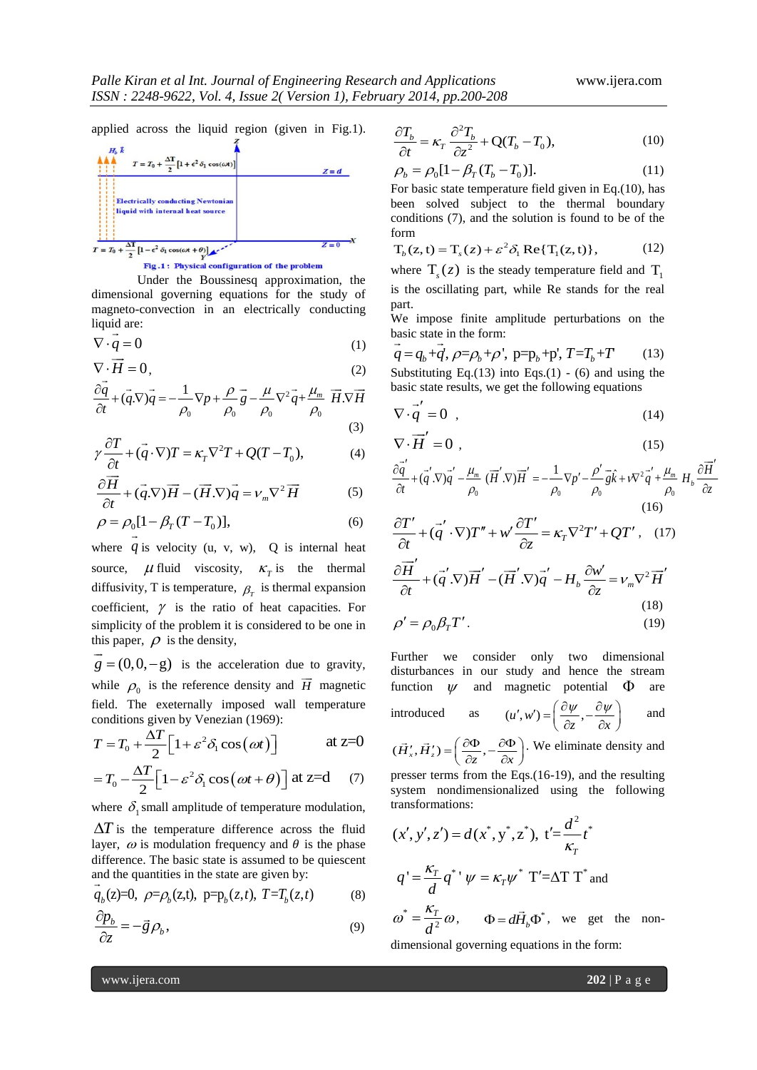applied across the liquid region (given in Fig.1).



Fig.1: Physical configuration of the problem

Under the Boussinesq approximation, the dimensional governing equations for the study of magneto-convection in an electrically conducting liquid are:

$$
\nabla \cdot \underline{q} = 0 \tag{1}
$$

$$
\nabla \cdot \vec{H} = 0, \qquad (2) \qquad \text{S} \quad \text{S} \quad \text{S} \quad \text{S} \quad \text{S} \quad \text{S} \quad \text{S} \quad \text{S} \quad \text{S} \quad \text{S} \quad \text{S} \quad \text{S} \quad \text{S} \quad \text{S} \quad \text{S} \quad \text{S} \quad \text{S} \quad \text{S} \quad \text{S} \quad \text{S} \quad \text{S} \quad \text{S} \quad \text{S} \quad \text{S} \quad \text{S} \quad \text{S} \quad \text{S} \quad \text{S} \quad \text{S} \quad \text{S} \quad \text{S} \quad \text{S} \quad \text{S} \quad \text{S} \quad \text{S} \quad \text{S} \quad \text{S} \quad \text{S} \quad \text{S} \quad \text{S} \quad \text{S} \quad \text{S} \quad \text{S} \quad \text{S} \quad \text{S} \quad \text{S} \quad \text{S} \quad \text{S} \quad \text{S} \quad \text{S} \quad \text{S} \quad \text{S} \quad \text{S} \quad \text{S} \quad \text{S} \quad \text{S} \quad \text{S} \quad \text{S} \quad \text{S} \quad \text{S} \quad \text{S} \quad \text{S} \quad \text{S} \quad \text{S} \quad \text{S} \quad \text{S} \quad \text{S} \quad \text{S} \quad \text{S} \quad \text{S} \quad \text{S} \quad \text{S} \quad \text{S} \quad \text{S} \quad \text{S} \quad \text{S} \quad \text{S} \quad \text{S} \quad \text{S} \quad \text{S} \quad \text{S} \quad \text{S} \quad \text{S} \quad \text{S} \quad \text{S} \quad \text{S} \quad \text{S} \quad \text{S} \quad \text{S} \quad \text{S} \quad \text{S} \quad \text{S} \quad \text{S} \quad \text{S} \quad \text{S} \quad \text{S} \quad \text{S} \quad \text{S} \quad \text{S} \quad \text{S} \quad \text{S} \quad \text{S} \quad \text{S} \quad \text{S} \quad \text{S} \quad \
$$

$$
\nabla \cdot \overrightarrow{H} = 0, \qquad (2)
$$
  
\n
$$
\frac{\partial \overrightarrow{q}}{\partial t} + (\overrightarrow{q} \cdot \nabla)\overrightarrow{q} = -\frac{1}{\rho_0} \nabla p + \frac{\rho}{\rho_0} \overrightarrow{g} - \frac{\mu}{\rho_0} \nabla^2 \overrightarrow{q} + \frac{\mu_m}{\rho_0} \overrightarrow{H} \cdot \nabla \overrightarrow{H}
$$
  
\n(3)

$$
\gamma \frac{\partial T}{\partial t} + (\vec{q} \cdot \nabla) T = \kappa_T \nabla^2 T + Q(T - T_0),
$$
\n(4)

$$
\frac{\partial \vec{H}}{\partial t} + (\vec{q}.\nabla)\vec{H} - (\vec{H}.\nabla)\vec{q} = v_m \nabla^2 \vec{H}
$$
 (5)

$$
\rho = \rho_0 [1 - \beta_T (T - T_0)],
$$
\n(6)

where  $q$  is velocity (u, v, w),  $Q$  is internal heat source,  $\mu$  fluid viscosity,  $\kappa_T$  is the thermal diffusivity, T is temperature,  $\rho_r$  is thermal expansion coefficient,  $\gamma$  is the ratio of heat capacities. For simplicity of the problem it is considered to be one in this paper,  $\rho$  is the density,

 $g = (0, 0, -g)$  is the acceleration due to gravity, while  $\rho_0$  is the reference density and  $\overline{H}$  magnetic  $\overline{\phantom{a}}$ field. The exeternally imposed wall temperature conditions given by Venezian (1969):

$$
T = T_0 + \frac{\Delta T}{2} \Big[ 1 + \varepsilon^2 \delta_1 \cos(\omega t) \Big] \qquad \text{at } z = 0
$$

$$
=T_0 - \frac{\Delta T}{2} \Big[1 - \varepsilon^2 \delta_1 \cos(\omega t + \theta)\Big] \text{ at } z = d \quad (7)
$$

where  $\delta_1$  small amplitude of temperature modulation,

 $\Delta T$  is the temperature difference across the fluid layer,  $\omega$  is modulation frequency and  $\theta$  is the phase difference. The basic state is assumed to be quiescent

and the quantities in the state are given by:  
\n
$$
\vec{q}_b(z)=0
$$
,  $\rho = \rho_b(z,t)$ ,  $p=p_b(z,t)$ ,  $T=T_b(z,t)$  (8)

$$
\frac{\partial p_b}{\partial z} = -\vec{g} \rho_b,\tag{9}
$$

$$
\frac{\partial T_b}{\partial t} = \kappa_T \frac{\partial^2 T_b}{\partial z^2} + \mathbf{Q}(T_b - T_0),\tag{10}
$$

$$
\rho_b = \rho_0 [1 - \beta_T (T_b - T_0)]. \tag{11}
$$

For basic state temperature field given in Eq.(10), has been solved subject to the thermal boundary conditions (7), and the solution is found to be of the form

form  
\n
$$
T_b(z, t) = T_s(z) + \varepsilon^2 \delta_1 \operatorname{Re} \{ T_1(z, t) \},
$$
\n(12)

where  $T_s(z)$  is the steady temperature field and  $T_1$ is the oscillating part, while Re stands for the real part.

We impose finite amplitude perturbations on the<br>basic state in the form:<br> $\vec{a} = \vec{a} + \vec{a'}$ ,  $\vec{a} = \vec{a} + \vec{a'}$ ,  $\vec{a} = \vec{a} + \vec{a'}$ ,  $\vec{a} = \vec{a} + \vec{a'}$ ,  $\vec{a} = \vec{a} + \vec{a'}$ ,  $\vec{a} = \vec{a} + \vec{a'}$ ,  $\vec{a} = \vec{a} + \vec{a'}$ ,

basic state in the form:  
\n
$$
\vec{q} = q_b + \vec{q}, \ \rho = \rho_b + \rho', \ \text{p} = p_b + \text{p'}, \ T = T_b + T
$$
 (13)

Substituting Eq.(13) into Eqs.(1) - (6) and using the basic state results, we get the following equations

$$
\nabla \cdot \vec{q}' = 0 \tag{14}
$$

$$
\nabla \cdot \overrightarrow{H}' = 0 , \qquad (15)
$$
  

$$
\frac{\partial \overrightarrow{q}}{=} + (\overrightarrow{q} \cdot \nabla) \overrightarrow{q} - \frac{\mu_m}{=} (\overrightarrow{H} \cdot \nabla) \overrightarrow{H}' = -\frac{1}{2} \nabla p' - \frac{\rho'}{g} \hat{k} + v \nabla^2 \overrightarrow{q} + \frac{\mu_m}{H} H_h \frac{\partial \overrightarrow{H}'}{\partial H}.
$$

$$
\nabla \cdot \overrightarrow{H}' = 0 , \qquad (15)
$$
  
\n
$$
\frac{\partial \overrightarrow{q}'}{\partial t} + (\overrightarrow{q}' \cdot \nabla) \overrightarrow{q}' - \frac{\mu_m}{\rho_0} (\overrightarrow{H}' \cdot \nabla) \overrightarrow{H}' = -\frac{1}{\rho_0} \nabla p' - \frac{\rho'}{\rho_0} \overrightarrow{g} \hat{k} + v \nabla^2 \overrightarrow{q}' + \frac{\mu_m}{\rho_0} H_b \frac{\partial \overrightarrow{H}'}{\partial z}
$$
  
\n(16)

$$
\frac{\partial T'}{\partial t} + (\vec{q}' \cdot \nabla) T'' + w' \frac{\partial T'}{\partial z} = \kappa_T \nabla^2 T' + QT', \quad (17)
$$
\n
$$
\frac{\partial \vec{H}'}{\partial t} + (\vec{q}' \cdot \nabla) \vec{H}' - (\vec{H}' \cdot \nabla) \vec{q}' - H_b \frac{\partial w'}{\partial z} = v_m \nabla^2 \vec{H}'
$$
\n
$$
\rho' = \rho_0 \beta_T T'.
$$
\n(18)

Further we consider only two dimensional disturbances in our study and hence the stream function  $\psi$  and magnetic potential  $\Phi$  are introduced as and

introduced as 
$$
(u', w') = \left(\frac{\partial \psi}{\partial z}, -\frac{\partial \psi}{\partial x}\right)
$$
 and

 $(\vec{H}'_x, \vec{H}'_z) = \left(\frac{\partial \Phi}{\partial z}, -\frac{\partial \Phi}{\partial x}\right)$  $\vec{H}'_x$ ,  $\vec{H}'_z$ ) =  $\left(\frac{\partial \Phi}{\partial z}, -\frac{\partial \Phi}{\partial x}\right)$ . We eliminate density and

presser terms from the Eqs.(16-19), and the resulting system nondimensionalized using the following transformations:

$$
(x', y', z') = d(x^*, y^*, z^*), t' = \frac{d^2}{\kappa_r} t^*
$$
  
\n
$$
q' = \frac{\kappa_r}{d} q^{*} \psi = \kappa_r \psi^* \text{ T}' = \Delta \text{T T}^* \text{ and}
$$
  
\n
$$
\omega^* = \frac{\kappa_r}{d^2} \omega, \qquad \Phi = d\vec{H}_b \Phi^*, \text{ we get the non-\ndimensional compula equation in the form.}
$$

dimensional governing equations in the form:

www.ijera.com **202** | P a g e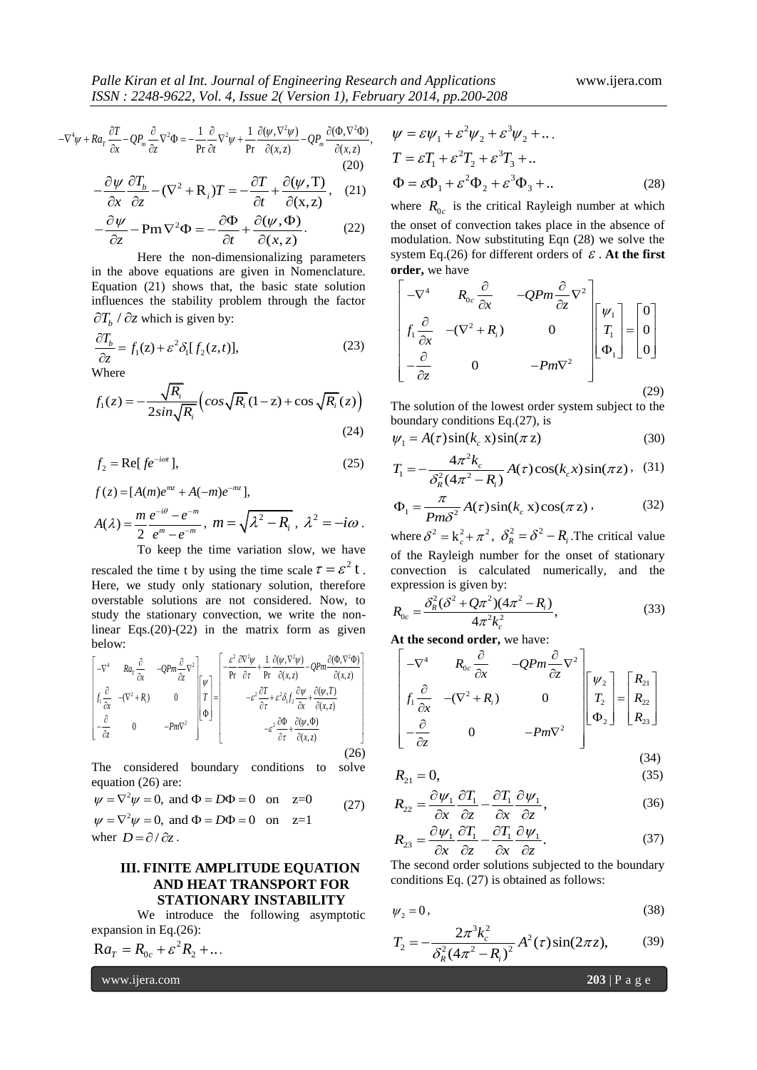,

$$
\frac{ISSN: 2248-9622, Vol. 4, Issue 2(Version 1), February 2014, pp.200-208)}{-\nabla^4 \psi + Ra_r \frac{\partial T}{\partial x} - QP_m \frac{\partial}{\partial z} \nabla^2 \Phi = -\frac{1}{\text{Pr}} \frac{\partial}{\partial t} \nabla^2 \psi + \frac{1}{\text{Pr}} \frac{\partial (\psi, \nabla^2 \psi)}{\partial (x, z)} - QP_m \frac{\partial (\Phi, \nabla^2 \Phi)}{\partial (x, z)}, \quad \psi = \varepsilon \psi_1 + \varepsilon^2 \psi_2 + \varepsilon \frac{\partial T}{\partial x} \frac{\partial}{\partial z} \nabla^2 \Phi = -\frac{1}{\text{Pr}} \frac{\partial}{\partial t} \nabla^2 \psi + \frac{1}{\text{Pr}} \frac{\partial (\psi, \nabla^2 \psi)}{\partial (x, z)} - QP_m \frac{\partial (\Phi, \nabla^2 \Phi)}{\partial (x, z)}, \quad \psi = \varepsilon T_1 + \varepsilon^2 T_2 + \varepsilon^3 T_1 \nabla^2 \Phi = -\frac{1}{\text{Pr}} \frac{\partial}{\partial t} \nabla^2 \Phi = -\frac{1}{\text{Pr}} \frac{\partial}{\partial t} \nabla^2 \psi + \frac{1}{\text{Pr}} \frac{\partial (\psi, \nabla^2 \psi)}{\partial (x, z)} - QP_m \frac{\partial (\Phi, \nabla^2 \Phi)}{\partial (x, z)},
$$

$$
-\frac{\partial \psi}{\partial x} \frac{\partial T_b}{\partial z} - (\nabla^2 + \mathbf{R}_i) T = -\frac{\partial T}{\partial t} + \frac{\partial (\psi, \mathbf{T})}{\partial (\mathbf{x}, z)}, \quad (21)
$$

$$
\frac{\partial x}{\partial z} \frac{\partial z}{\partial z} - Pm \nabla^2 \Phi = -\frac{\partial \Phi}{\partial t} + \frac{\partial (\psi, \Phi)}{\partial (x, z)}.
$$
 (22)

Here the non-dimensionalizing parameters in the above equations are given in Nomenclature. Equation (21) shows that, the basic state solution influences the stability problem through the factor  $\partial T_b$  /  $\partial z$  which is given by:

$$
\frac{\partial T_b}{\partial z} = f_1(z) + \varepsilon^2 \delta_1[f_2(z, t)],\tag{23}
$$

Where

Where  

$$
f_1(z) = -\frac{\sqrt{R_i}}{2\sin\sqrt{R_i}} \left(\cos\sqrt{R_i}(1-z) + \cos\sqrt{R_i}(z)\right)
$$
(24)

$$
f_2 = \text{Re}[f e^{-i\omega t}], \tag{25}
$$

$$
f(z) = [A(m)e^{mz} + A(-m)e^{-mz}],
$$
  
\n
$$
A(\lambda) = \frac{m}{2} \frac{e^{-i\theta} - e^{-m}}{e^m - e^{-m}}, \ m = \sqrt{\lambda^2 - R_i}, \ \lambda^2 = -i\omega.
$$
  
\nTo keep the time variation slow, we have

rescaled the time t by using the time scale  $\tau = \varepsilon^2 t$ . Here, we study only stationary solution, therefore overstable solutions are not considered. Now, to study the stationary convection, we write the nonlinear Eqs.(20)-(22) in the matrix form as given<br>
below:  $\left[ -\nabla^4 \right]_{\text{R}q_r} \frac{\partial}{\partial \phi} -2\Omega m \frac{\partial}{\partial \phi} \nabla^2 \right]_{\text{R}q_r} = \left[ -\frac{\varepsilon^2}{\rho} \frac{\partial \nabla^2 \psi}{\partial \phi} + \frac{1}{\rho} \frac{\partial (\psi, \nabla^2 \psi)}{\partial (\phi, \phi)} - \Omega P m \frac{\partial (\phi, \nabla^2 \phi)}{\partial (\phi, \phi)} \$ below: <sup>2</sup>  $\partial \nabla^2 \psi$  1  $\partial (\psi, \nabla^2 \psi)$  or  $\partial (\Phi, \nabla^2 \psi)$ 

| A $t$       |                                     |                                               |                                             |                                                                                                                                                                                                                               |                                                                                                                                         |                                             |                                                                                                                                                           |                                                                                                                                                                                        |                                                                                                                                                                                                                                                      |
|-------------|-------------------------------------|-----------------------------------------------|---------------------------------------------|-------------------------------------------------------------------------------------------------------------------------------------------------------------------------------------------------------------------------------|-----------------------------------------------------------------------------------------------------------------------------------------|---------------------------------------------|-----------------------------------------------------------------------------------------------------------------------------------------------------------|----------------------------------------------------------------------------------------------------------------------------------------------------------------------------------------|------------------------------------------------------------------------------------------------------------------------------------------------------------------------------------------------------------------------------------------------------|
| below:      | At                                  |                                               |                                             |                                                                                                                                                                                                                               |                                                                                                                                         |                                             |                                                                                                                                                           |                                                                                                                                                                                        |                                                                                                                                                                                                                                                      |
| $-\nabla^4$ | $R a_T \frac{\partial}{\partial x}$ | $-Q P m \frac{\partial}{\partial z} \nabla^2$ | $\begin{bmatrix} w \\ w \\ w \end{bmatrix}$ | $\begin{bmatrix} -\frac{\varepsilon^2}{\rho r} \frac{\partial \nabla^2 \psi}{\partial r} + \frac{1}{r} \frac{\partial (\psi, \nabla^2 \psi)}{\partial (x, z)} - Q P m \frac{\partial (\Phi, \nabla^2 \Phi)}{\partial (x, z)}$ | $\begin{bmatrix} \frac{\partial}{\partial x} & -(\nabla^2 + R_i) & 0 \\ -\frac{\partial}{\partial z} & 0 & -P m \nabla^2 \end{bmatrix}$ | $\begin{bmatrix} w \\ w \\ w \end{bmatrix}$ | $-\varepsilon^2 \frac{\partial T}{\partial t} + \varepsilon^2 \delta_1 f_2 \frac{\partial \psi}{\partial x} + \frac{\partial (\psi, T)}{\partial (x, z)}$ | $\begin{bmatrix} \frac{\partial}{\partial t} & -(\nabla^2 + R_i) & 0 \\ -\varepsilon^2 \frac{\partial \Phi}{\partial t} + \frac{\partial (\psi, \Phi)}{\partial (x, z)} \end{bmatrix}$ | $\begin{bmatrix} \frac{\partial}{\partial t} & \frac{\partial}{\partial t} & \frac{\partial}{\partial t} & \frac{\partial}{\partial t} \\ 0 & \frac{\partial}{\partial t} & \frac{\partial}{\partial t} & \frac{\partial}{\partial t} \end{bmatrix}$ |

The considered boundary conditions to solve equation (26) are:<br> $\psi = \nabla^2 \psi = 0$ , and  $\Phi = D\Phi = 0$  or

equation (26) are:  
\n
$$
\psi = \nabla^2 \psi = 0
$$
, and  $\Phi = D\Phi = 0$  on  $z=0$   
\n $\psi = \nabla^2 \psi = 0$ , and  $\Phi = D\Phi = 0$  on  $z=1$  (27)  
\nwhere  $D = \partial/\partial z$ 

where 
$$
D = \partial / \partial z
$$
.

# **III. FINITE AMPLITUDE EQUATION AND HEAT TRANSPORT FOR STATIONARY INSTABILITY**

We introduce the following asymptotic expansion in Eq.(26):

$$
\mathbf{R}a_T = R_{0c} + \varepsilon^2 R_2 + \dots
$$

www.ijera.com **203** | P a g e

$$
\psi = \varepsilon \psi_1 + \varepsilon^2 \psi_2 + \varepsilon^3 \psi_2 + \dots
$$
  
\n
$$
T = \varepsilon T_1 + \varepsilon^2 T_2 + \varepsilon^3 T_3 + \dots
$$
  
\n
$$
\Phi = \varepsilon \Phi_1 + \varepsilon^2 \Phi_2 + \varepsilon^3 \Phi_3 + \dots
$$
 (28)

where  $R_{0c}$  is the critical Rayleigh number at which the onset of convection takes place in the absence of modulation. Now substituting Eqn (28) we solve the system Eq.(26) for different orders of  $\varepsilon$ . At the first **order,** we have

system Eq.(20) for different orders of *e*. At the first  
\norder, we have\n
$$
\begin{bmatrix}\n-\nabla^4 & R_{0c} \frac{\partial}{\partial x} & -QPm \frac{\partial}{\partial z} \nabla^2 \\
f_1 \frac{\partial}{\partial x} & -(\nabla^2 + R_i) & 0 \\
-\frac{\partial}{\partial z} & 0 & -Pm\nabla^2\n\end{bmatrix}\n\begin{bmatrix}\n\psi_1 \\
T_1 \\
\Phi_1\n\end{bmatrix} =\n\begin{bmatrix}\n0 \\
0 \\
0\n\end{bmatrix}
$$
\n(29)

The solution of the lowest order system subject to the

boundary conditions Eq.(27), is  
\n
$$
\psi_1 = A(\tau) \sin(k_c \mathbf{x}) \sin(\pi \mathbf{z})
$$
\n(30)

$$
T_1 = -\frac{4\pi^2 k_c}{\delta_R^2 (4\pi^2 - R_i)} A(\tau) \cos(k_c x) \sin(\pi z), \quad (31)
$$

$$
\Phi_1 = \frac{\pi}{Pm\delta^2} A(\tau)\sin(k_c x)\cos(\pi z), \qquad (32)
$$

where  $\delta^2 = k_c^2 + \pi^2$ ,  $\delta_R^2 = \delta^2 - R_i$ . The critical value of the Rayleigh number for the onset of stationary convection is calculated numerically, and the

expression is given by:  
\n
$$
R_{0c} = \frac{\delta_R^2 (\delta^2 + Q\pi^2)(4\pi^2 - R_i)}{4\pi^2 k_c^2},
$$
\n(33)

At the second order, we have:  
\n
$$
\begin{bmatrix}\n-\nabla^4 & R_{0c} \frac{\partial}{\partial x} & -QPm \frac{\partial}{\partial z} \nabla^2 \\
f_1 \frac{\partial}{\partial x} & -(\nabla^2 + R_i) & 0 \\
-\frac{\partial}{\partial z} & 0 & -Pm\nabla^2\n\end{bmatrix}\n\begin{bmatrix}\n\psi_2 \\
T_2 \\
\Phi_2\n\end{bmatrix} =\n\begin{bmatrix}\nR_{21} \\
R_{22} \\
R_{23}\n\end{bmatrix}
$$

$$
R_{21} = 0,\t(34)
$$

$$
R_{22} = \frac{\partial \psi_1}{\partial x} \frac{\partial T_1}{\partial z} - \frac{\partial T_1}{\partial x} \frac{\partial \psi_1}{\partial z},
$$
(36)

$$
R_{23} = \frac{\partial \psi_1}{\partial x} \frac{\partial T_1}{\partial z} - \frac{\partial T_1}{\partial x} \frac{\partial \psi_1}{\partial z}.
$$
 (37)

The second order solutions subjected to the boundary conditions Eq. (27) is obtained as follows:

$$
\psi_2 = 0, \tag{38}
$$

$$
T_2 = -\frac{2\pi^3 k_c^2}{\delta_R^2 (4\pi^2 - R_i)^2} A^2(\tau) \sin(2\pi z),
$$
 (39)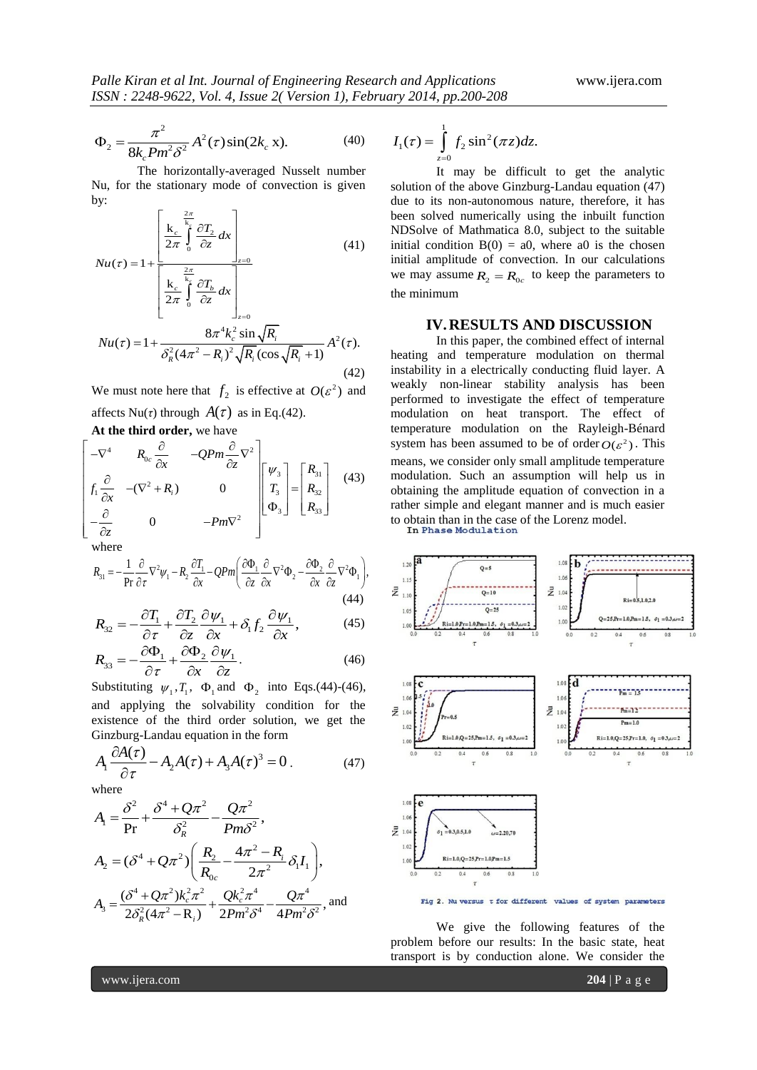$$
\Phi_2 = \frac{\pi^2}{8k_c P m^2 \delta^2} A^2(\tau) \sin(2k_c x). \tag{40}
$$

The horizontally-averaged Nusselt number Nu, for the stationary mode of convection is given by:

by:  
\n
$$
Nu(\tau) = 1 + \frac{\left[\frac{k_c}{2\pi} \int_0^{\frac{2\pi}{k_c}} \frac{\partial T_2}{\partial z} dx\right]_{z=0}}{\left[\frac{k_c}{2\pi} \int_0^{\frac{2\pi}{k_c}} \frac{\partial T_b}{\partial z} dx\right]_{z=0}}
$$
\n
$$
Nu(\tau) = 1 + \frac{8\pi^4 k_c^2 \sin \sqrt{R_i}}{\delta_k^2 (4\pi^2 - R_i)^2 \sqrt{R_i} (\cos \sqrt{R_i} + 1)} A^2(\tau).
$$
\n(42)

We must note here that  $f_2$  is effective at  $O(\varepsilon^2)$  and affects  $Nu(\tau)$  through  $A(\tau)$  as in Eq.(42).

**At the third order,** we have  
\n
$$
\begin{bmatrix}\n-\nabla^4 & R_{0c} \frac{\partial}{\partial x} & -QPm \frac{\partial}{\partial z} \nabla^2 \\
f_1 \frac{\partial}{\partial x} & -(\nabla^2 + R_i) & 0 \\
-\frac{\partial}{\partial z} & 0 & -Pm\nabla^2\n\end{bmatrix}\n\begin{bmatrix}\n\psi_3 \\
T_3 \\
\Phi_3\n\end{bmatrix} =\n\begin{bmatrix}\nR_{31} \\
R_{32} \\
R_{33}\n\end{bmatrix}
$$
\n(43)

where

where  
\n
$$
R_{31} = -\frac{1}{\Pr} \frac{\partial}{\partial \tau} \nabla^2 \psi_1 - R_2 \frac{\partial T_1}{\partial x} - QPm \left( \frac{\partial \Phi_1}{\partial z} \frac{\partial}{\partial x} \nabla^2 \Phi_2 - \frac{\partial \Phi_2}{\partial x} \frac{\partial}{\partial z} \nabla^2 \Phi_1 \right),
$$
\n(44)

(44)  
\n
$$
R_{32} = -\frac{\partial T_1}{\partial \tau} + \frac{\partial T_2}{\partial z} \frac{\partial \psi_1}{\partial x} + \delta_1 f_2 \frac{\partial \psi_1}{\partial x},
$$
\n(45)

$$
R_{33} = -\frac{\partial \Phi_1}{\partial \tau} + \frac{\partial \Phi_2}{\partial x} \frac{\partial \psi_1}{\partial z}.
$$
 (46)

Substituting  $\psi_1, T_1, \Phi_1$  and  $\Phi_2$  into Eqs.(44)-(46), and applying the solvability condition for the existence of the third order solution, we get the

Ginzburg-Landau equation in the form  
\n
$$
A_1 \frac{\partial A(\tau)}{\partial \tau} - A_2 A(\tau) + A_3 A(\tau)^3 = 0.
$$
\n(47)

where

where  
\n
$$
A_1 = \frac{\delta^2}{\text{Pr}} + \frac{\delta^4 + 2\pi^2}{\delta_R^2} - \frac{2\pi^2}{\text{Pm}\delta^2},
$$
\n
$$
A_2 = (\delta^4 + 2\pi^2) \left( \frac{R_2}{R_{0c}} - \frac{4\pi^2 - R_i}{2\pi^2} \delta_l I_1 \right),
$$
\n
$$
A_3 = \frac{(\delta^4 + 2\pi^2)k_c^2 \pi^2}{2\delta_R^2 (4\pi^2 - R_i)} + \frac{Qk_c^2 \pi^4}{2\text{Pm}^2 \delta^4} - \frac{Q\pi^4}{4\text{Pm}^2 \delta^2}, \text{ and}
$$

$$
I_1(\tau) = \int_{z=0}^1 f_2 \sin^2(\pi z) dz.
$$

It may be difficult to get the analytic solution of the above Ginzburg-Landau equation (47) due to its non-autonomous nature, therefore, it has been solved numerically using the inbuilt function NDSolve of Mathmatica 8.0, subject to the suitable initial condition  $B(0) = a0$ , where a0 is the chosen initial amplitude of convection. In our calculations we may assume  $R_2 = R_{0c}$  to keep the parameters to the minimum

#### **IV.RESULTS AND DISCUSSION**

In this paper, the combined effect of internal heating and temperature modulation on thermal instability in a electrically conducting fluid layer. A weakly non-linear stability analysis has been performed to investigate the effect of temperature modulation on heat transport. The effect of temperature modulation on the Rayleigh-Bénard system has been assumed to be of order  $O(\varepsilon^2)$ . This means, we consider only small amplitude temperature modulation. Such an assumption will help us in obtaining the amplitude equation of convection in a rather simple and elegant manner and is much easier to obtain than in the case of the Lorenz model.



We give the following features of the problem before our results: In the basic state, heat transport is by conduction alone. We consider the

www.ijera.com **204** | P a g e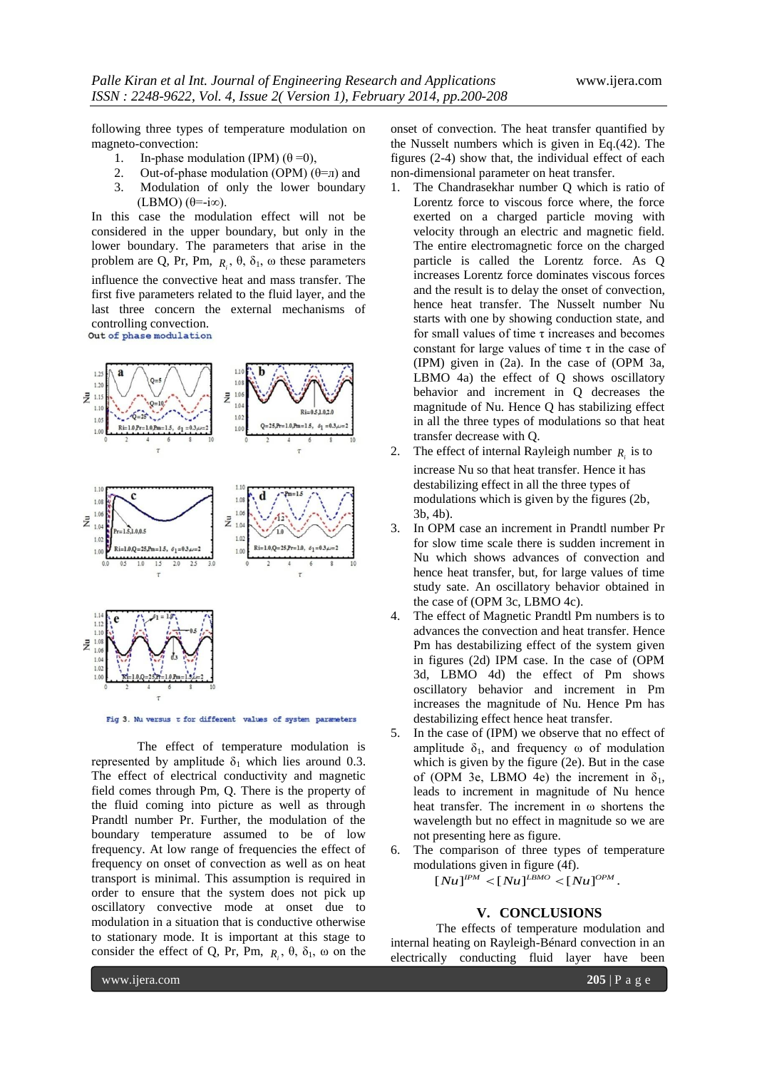following three types of temperature modulation on magneto-convection:

- 1. In-phase modulation (IPM)  $(\theta = 0)$ ,
- 2. Out-of-phase modulation (OPM)  $(θ=π)$  and 3. Modulation of only the lower boundary
- (LBMO) (θ=-i∞).

In this case the modulation effect will not be considered in the upper boundary, but only in the lower boundary. The parameters that arise in the problem are Q, Pr, Pm,  $R_i$ ,  $\theta$ ,  $\delta_1$ ,  $\omega$  these parameters influence the convective heat and mass transfer. The first five parameters related to the fluid layer, and the last three concern the external mechanisms of controlling convection.<br>Out of phase modulation





Fig 3. Nu versus t for different values of system parameters

The effect of temperature modulation is represented by amplitude  $\delta_1$  which lies around 0.3. The effect of electrical conductivity and magnetic field comes through Pm, Q. There is the property of the fluid coming into picture as well as through Prandtl number Pr. Further, the modulation of the boundary temperature assumed to be of low frequency. At low range of frequencies the effect of frequency on onset of convection as well as on heat transport is minimal. This assumption is required in order to ensure that the system does not pick up oscillatory convective mode at onset due to modulation in a situation that is conductive otherwise to stationary mode. It is important at this stage to consider the effect of Q, Pr, Pm,  $R_i$ ,  $\theta$ ,  $\delta_1$ ,  $\omega$  on the onset of convection. The heat transfer quantified by the Nusselt numbers which is given in Eq.(42). The figures (2-4) show that, the individual effect of each non-dimensional parameter on heat transfer.

- 1. The Chandrasekhar number Q which is ratio of Lorentz force to viscous force where, the force exerted on a charged particle moving with velocity through an electric and magnetic field. The entire electromagnetic force on the charged particle is called the Lorentz force. As Q increases Lorentz force dominates viscous forces and the result is to delay the onset of convection, hence heat transfer. The Nusselt number Nu starts with one by showing conduction state, and for small values of time  $\tau$  increases and becomes constant for large values of time  $\tau$  in the case of (IPM) given in (2a). In the case of (OPM 3a, LBMO 4a) the effect of Q shows oscillatory behavior and increment in Q decreases the magnitude of Nu. Hence Q has stabilizing effect in all the three types of modulations so that heat transfer decrease with Q.
- 2. The effect of internal Rayleigh number  $R_i$  is to increase Nu so that heat transfer. Hence it has destabilizing effect in all the three types of modulations which is given by the figures (2b, 3b, 4b).
- 3. In OPM case an increment in Prandtl number Pr for slow time scale there is sudden increment in Nu which shows advances of convection and hence heat transfer, but, for large values of time study sate. An oscillatory behavior obtained in the case of (OPM 3c, LBMO 4c).
- 4. The effect of Magnetic Prandtl Pm numbers is to advances the convection and heat transfer. Hence Pm has destabilizing effect of the system given in figures (2d) IPM case. In the case of (OPM 3d, LBMO 4d) the effect of Pm shows oscillatory behavior and increment in Pm increases the magnitude of Nu. Hence Pm has destabilizing effect hence heat transfer.
- 5. In the case of (IPM) we observe that no effect of amplitude  $\delta_1$ , and frequency  $\omega$  of modulation which is given by the figure (2e). But in the case of (OPM 3e, LBMO 4e) the increment in  $\delta_1$ , leads to increment in magnitude of Nu hence heat transfer. The increment in ω shortens the wavelength but no effect in magnitude so we are not presenting here as figure.
- 6. The comparison of three types of temperature

modulations given in figure (4f).  
\n
$$
[Nu]^{IPM} < [Nu]^{L BMO} < [Nu]^{OPM}.
$$

### **V. CONCLUSIONS**

The effects of temperature modulation and internal heating on Rayleigh-Bénard convection in an electrically conducting fluid layer have been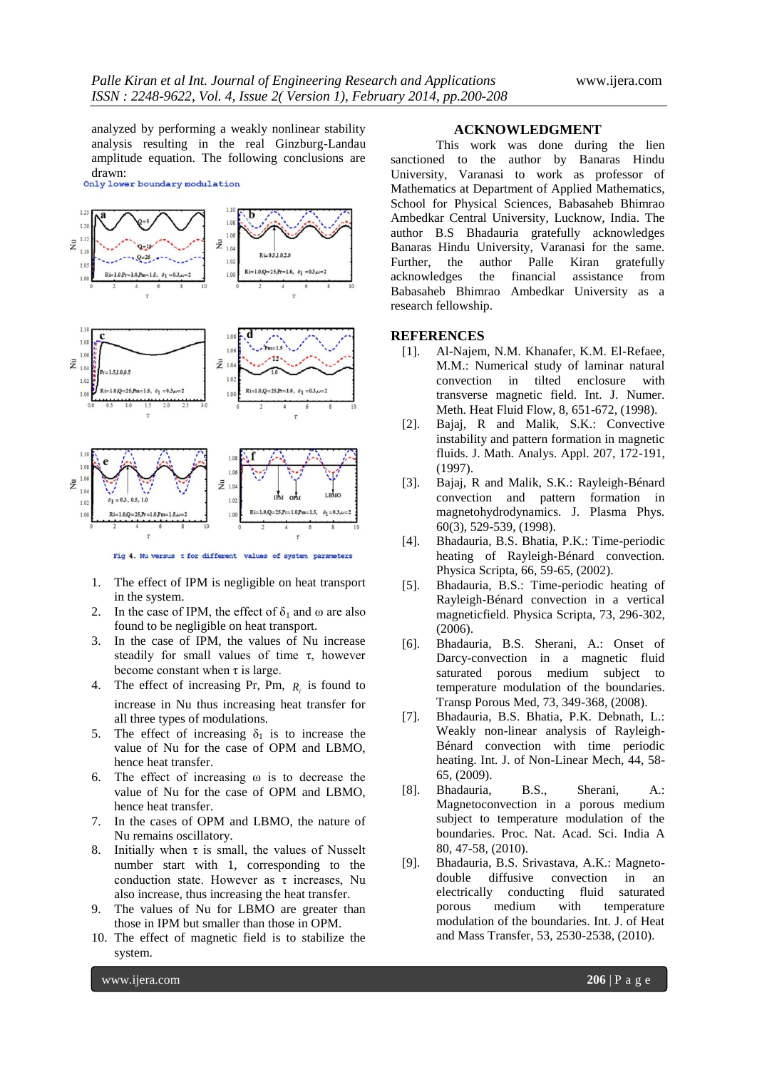analyzed by performing a weakly nonlinear stability analysis resulting in the real Ginzburg-Landau amplitude equation. The following conclusions are drawn:<br>Only lower boundary modulation



Fig 4. Nu versus t for different values of system parameters

- 1. The effect of IPM is negligible on heat transport in the system.
- 2. In the case of IPM, the effect of  $\delta_1$  and  $\omega$  are also found to be negligible on heat transport.
- 3. In the case of IPM, the values of Nu increase steadily for small values of time  $\tau$ , however become constant when  $\tau$  is large.
- 4. The effect of increasing Pr, Pm,  $R_i$  is found to increase in Nu thus increasing heat transfer for all three types of modulations.
- 5. The effect of increasing  $\delta_1$  is to increase the value of Nu for the case of OPM and LBMO, hence heat transfer.
- 6. The effect of increasing ω is to decrease the value of Nu for the case of OPM and LBMO, hence heat transfer.
- 7. In the cases of OPM and LBMO, the nature of Nu remains oscillatory.
- 8. Initially when  $\tau$  is small, the values of Nusselt number start with 1, corresponding to the conduction state. However as  $\tau$  increases, Nu also increase, thus increasing the heat transfer.
- 9. The values of Nu for LBMO are greater than those in IPM but smaller than those in OPM.
- 10. The effect of magnetic field is to stabilize the system.

#### **ACKNOWLEDGMENT**

This work was done during the lien sanctioned to the author by Banaras Hindu University, Varanasi to work as professor of Mathematics at Department of Applied Mathematics, School for Physical Sciences, Babasaheb Bhimrao Ambedkar Central University, Lucknow, India. The author B.S Bhadauria gratefully acknowledges Banaras Hindu University, Varanasi for the same. Further, the author Palle Kiran gratefully acknowledges the financial assistance from Babasaheb Bhimrao Ambedkar University as a research fellowship.

#### **REFERENCES**

- [1]. Al-Najem, N.M. Khanafer, K.M. El-Refaee, M.M.: Numerical study of laminar natural convection in tilted enclosure with transverse magnetic field. Int. J. Numer. Meth. Heat Fluid Flow, 8, 651-672, (1998).
- [2]. Bajaj, R and Malik, S.K.: Convective instability and pattern formation in magnetic fluids. J. Math. Analys. Appl. 207, 172-191, (1997).
- [3]. Bajaj, R and Malik, S.K.: Rayleigh-Bénard convection and pattern formation in magnetohydrodynamics. J. Plasma Phys. 60(3), 529-539, (1998).
- [4]. Bhadauria, B.S. Bhatia, P.K.: Time-periodic heating of Rayleigh-Bénard convection. Physica Scripta, 66, 59-65, (2002).
- [5]. Bhadauria, B.S.: Time-periodic heating of Rayleigh-Bénard convection in a vertical magneticfield. Physica Scripta, 73, 296-302, (2006).
- [6]. Bhadauria, B.S. Sherani, A.: Onset of Darcy-convection in a magnetic fluid saturated porous medium subject to temperature modulation of the boundaries. Transp Porous Med, 73, 349-368, (2008).
- [7]. Bhadauria, B.S. Bhatia, P.K. Debnath, L.: Weakly non-linear analysis of Rayleigh-Bénard convection with time periodic heating. Int. J. of Non-Linear Mech, 44, 58- 65, (2009).
- [8]. Bhadauria, B.S., Sherani, A.: Magnetoconvection in a porous medium subject to temperature modulation of the boundaries. Proc. Nat. Acad. Sci. India A 80, 47-58, (2010).
- [9]. Bhadauria, B.S. Srivastava, A.K.: Magnetodouble diffusive convection in an electrically conducting fluid saturated porous medium with temperature modulation of the boundaries. Int. J. of Heat and Mass Transfer, 53, 2530-2538, (2010).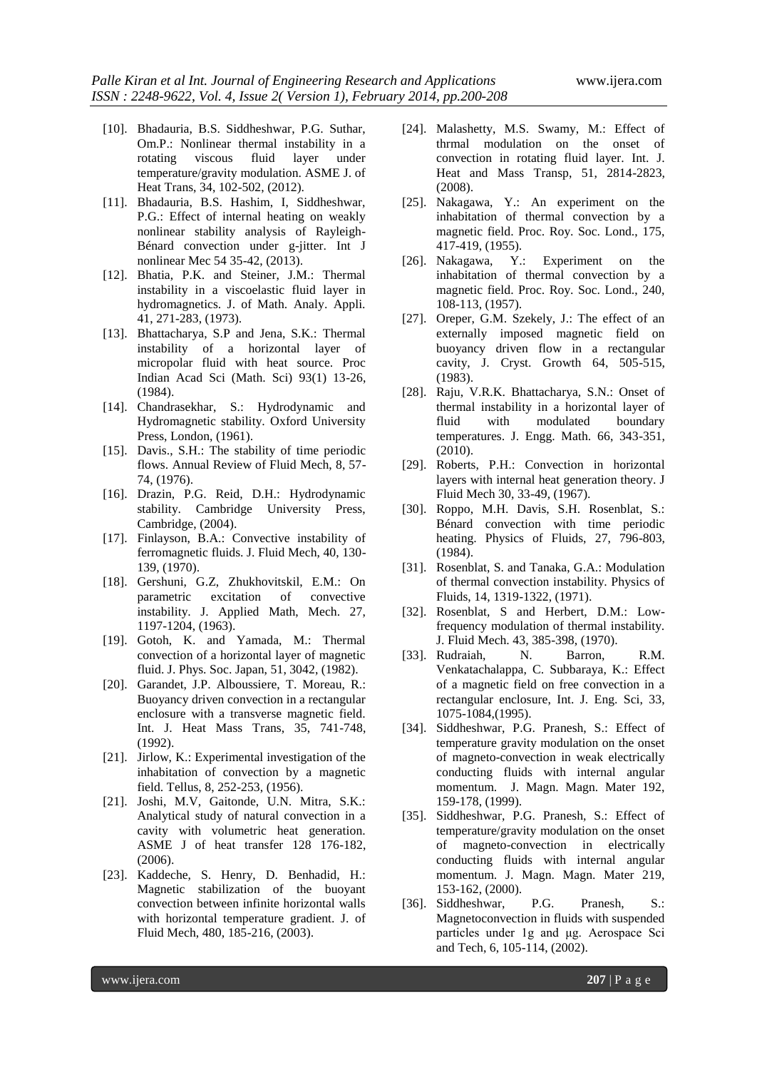- [10]. Bhadauria, B.S. Siddheshwar, P.G. Suthar, Om.P.: Nonlinear thermal instability in a rotating viscous fluid layer under temperature/gravity modulation. ASME J. of Heat Trans, 34, 102-502, (2012).
- [11]. Bhadauria, B.S. Hashim, I, Siddheshwar, P.G.: Effect of internal heating on weakly nonlinear stability analysis of Rayleigh-Bénard convection under g-jitter. Int J nonlinear Mec 54 35-42, (2013).
- [12]. Bhatia, P.K. and Steiner, J.M.: Thermal instability in a viscoelastic fluid layer in hydromagnetics. J. of Math. Analy. Appli. 41, 271-283, (1973).
- [13]. Bhattacharya, S.P and Jena, S.K.: Thermal instability of a horizontal layer of micropolar fluid with heat source. Proc Indian Acad Sci (Math. Sci) 93(1) 13-26, (1984).
- [14]. Chandrasekhar, S.: Hydrodynamic and Hydromagnetic stability. Oxford University Press, London, (1961).
- [15]. Davis., S.H.: The stability of time periodic flows. Annual Review of Fluid Mech, 8, 57- 74, (1976).
- [16]. Drazin, P.G. Reid, D.H.: Hydrodynamic stability. Cambridge University Press, Cambridge, (2004).
- [17]. Finlayson, B.A.: Convective instability of ferromagnetic fluids. J. Fluid Mech, 40, 130- 139, (1970).
- [18]. Gershuni, G.Z, Zhukhovitskil, E.M.: On parametric excitation of convective instability. J. Applied Math, Mech. 27, 1197-1204, (1963).
- [19]. Gotoh, K. and Yamada, M.: Thermal convection of a horizontal layer of magnetic fluid. J. Phys. Soc. Japan, 51, 3042, (1982).
- [20]. Garandet, J.P. Alboussiere, T. Moreau, R.: Buoyancy driven convection in a rectangular enclosure with a transverse magnetic field. Int. J. Heat Mass Trans, 35, 741-748, (1992).
- [21]. Jirlow, K.: Experimental investigation of the inhabitation of convection by a magnetic field. Tellus, 8, 252-253, (1956).
- [21]. Joshi, M.V, Gaitonde, U.N. Mitra, S.K.: Analytical study of natural convection in a cavity with volumetric heat generation. ASME J of heat transfer 128 176-182, (2006).
- [23]. Kaddeche, S. Henry, D. Benhadid, H.: Magnetic stabilization of the buoyant convection between infinite horizontal walls with horizontal temperature gradient. J. of Fluid Mech, 480, 185-216, (2003).
- [24]. Malashetty, M.S. Swamy, M.: Effect of thrmal modulation on the onset of convection in rotating fluid layer. Int. J. Heat and Mass Transp, 51, 2814-2823, (2008).
- [25]. Nakagawa, Y.: An experiment on the inhabitation of thermal convection by a magnetic field. Proc. Roy. Soc. Lond., 175, 417-419, (1955).
- [26]. Nakagawa, Y.: Experiment on the inhabitation of thermal convection by a magnetic field. Proc. Roy. Soc. Lond., 240, 108-113, (1957).
- [27]. Oreper, G.M. Szekely, J.: The effect of an externally imposed magnetic field on buoyancy driven flow in a rectangular cavity, J. Cryst. Growth 64, 505-515, (1983).
- [28]. Raju, V.R.K. Bhattacharya, S.N.: Onset of thermal instability in a horizontal layer of fluid with modulated boundary temperatures. J. Engg. Math. 66, 343-351, (2010).
- [29]. Roberts, P.H.: Convection in horizontal layers with internal heat generation theory. J Fluid Mech 30, 33-49, (1967).
- [30]. Roppo, M.H. Davis, S.H. Rosenblat, S.: Bénard convection with time periodic heating. Physics of Fluids, 27, 796-803, (1984).
- [31]. Rosenblat, S. and Tanaka, G.A.: Modulation of thermal convection instability. Physics of Fluids, 14, 1319-1322, (1971).
- [32]. Rosenblat, S and Herbert, D.M.: Lowfrequency modulation of thermal instability. J. Fluid Mech. 43, 385-398, (1970).
- [33]. Rudraiah, N. Barron, R.M. Venkatachalappa, C. Subbaraya, K.: Effect of a magnetic field on free convection in a rectangular enclosure, Int. J. Eng. Sci, 33, 1075-1084,(1995).
- [34]. Siddheshwar, P.G. Pranesh, S.: Effect of temperature gravity modulation on the onset of magneto-convection in weak electrically conducting fluids with internal angular momentum. J. Magn. Magn. Mater 192, 159-178, (1999).
- [35]. Siddheshwar, P.G. Pranesh, S.: Effect of temperature/gravity modulation on the onset of magneto-convection in electrically conducting fluids with internal angular momentum. J. Magn. Magn. Mater 219, 153-162, (2000).
- [36]. Siddheshwar, P.G. Pranesh, S.: Magnetoconvection in fluids with suspended particles under 1g and μg. Aerospace Sci and Tech, 6, 105-114, (2002).